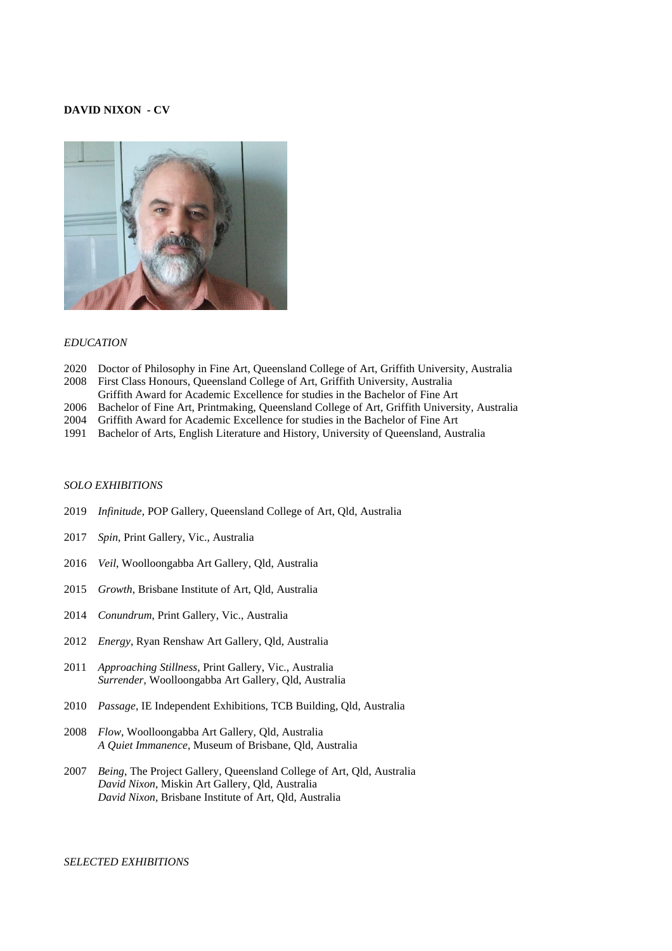# **DAVID NIXON - CV**



#### *EDUCATION*

- 2020 Doctor of Philosophy in Fine Art, Queensland College of Art, Griffith University, Australia
- 2008 First Class Honours, Queensland College of Art, Griffith University, Australia
- Griffith Award for Academic Excellence for studies in the Bachelor of Fine Art
- 2006 Bachelor of Fine Art, Printmaking, Queensland College of Art, Griffith University, Australia
- 2004 Griffith Award for Academic Excellence for studies in the Bachelor of Fine Art
- 1991 Bachelor of Arts, English Literature and History, University of Queensland, Australia

#### *SOLO EXHIBITIONS*

- 2019 *Infinitude*, POP Gallery, Queensland College of Art, Qld, Australia
- 2017 *Spin*, Print Gallery, Vic., Australia
- 2016 *Veil*, Woolloongabba Art Gallery, Qld, Australia
- 2015 *Growth*, Brisbane Institute of Art, Qld, Australia
- 2014 *Conundrum*, Print Gallery, Vic., Australia
- 2012 *Energy*, Ryan Renshaw Art Gallery, Qld, Australia
- 2011 *Approaching Stillness*, Print Gallery, Vic., Australia *Surrender*, Woolloongabba Art Gallery, Qld, Australia
- 2010 *Passage*, IE Independent Exhibitions, TCB Building, Qld, Australia
- 2008 *Flow*, Woolloongabba Art Gallery, Qld, Australia  *A Quiet Immanence*, Museum of Brisbane, Qld, Australia
- 2007 *Being*, The Project Gallery, Queensland College of Art, Qld, Australia *David Nixon*, Miskin Art Gallery, Qld, Australia *David Nixon*, Brisbane Institute of Art, Qld, Australia

### *SELECTED EXHIBITIONS*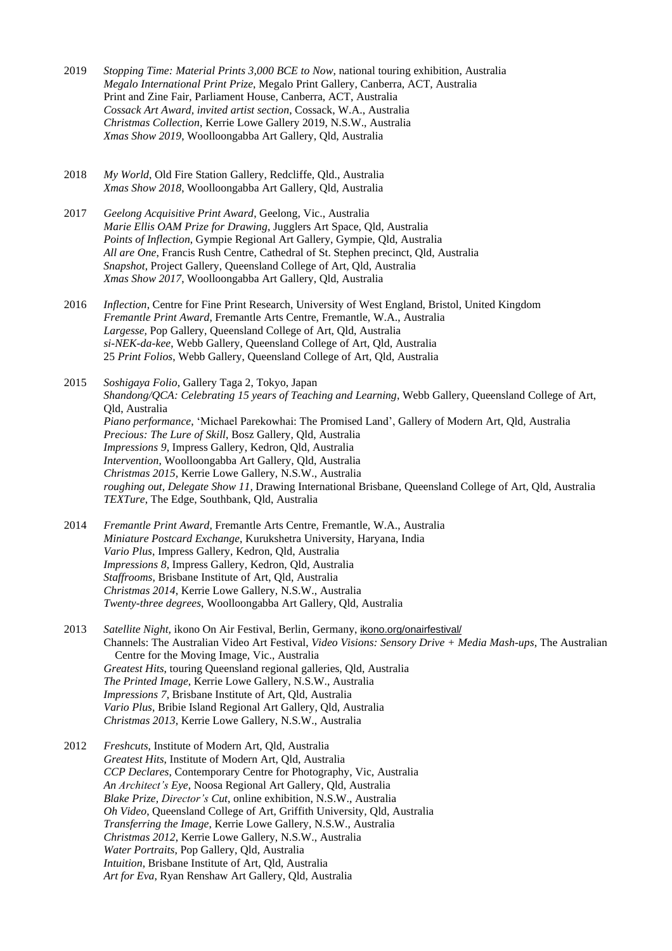- 2019 *Stopping Time: Material Prints 3,000 BCE to Now*, national touring exhibition, Australia *Megalo International Print Prize*, Megalo Print Gallery, Canberra, ACT, Australia Print and Zine Fair, Parliament House, Canberra, ACT, Australia *Cossack Art Award, invited artist section*, Cossack, W.A., Australia *Christmas Collection*, Kerrie Lowe Gallery 2019, N.S.W., Australia *Xmas Show 2019*, Woolloongabba Art Gallery, Qld, Australia
- 2018 *My World*, Old Fire Station Gallery, Redcliffe, Qld., Australia *Xmas Show 2018*, Woolloongabba Art Gallery, Qld, Australia
- 2017 *Geelong Acquisitive Print Award*, Geelong, Vic., Australia *Marie Ellis OAM Prize for Drawing*, Jugglers Art Space, Qld, Australia *Points of Inflection*, Gympie Regional Art Gallery, Gympie, Qld, Australia *All are One*, Francis Rush Centre, Cathedral of St. Stephen precinct, Qld, Australia *Snapshot*, Project Gallery, Queensland College of Art, Qld, Australia *Xmas Show 2017*, Woolloongabba Art Gallery, Qld, Australia
- 2016 *Inflection*, Centre for Fine Print Research, University of West England, Bristol, United Kingdom *Fremantle Print Award*, Fremantle Arts Centre, Fremantle, W.A., Australia *Largesse,* Pop Gallery, Queensland College of Art, Qld, Australia *si-NEK-da-kee*, Webb Gallery, Queensland College of Art, Qld, Australia 25 *Print Folios*, Webb Gallery, Queensland College of Art, Qld, Australia

2015 *Soshigaya Folio*, Gallery Taga 2, Tokyo, Japan *Shandong/QCA: Celebrating 15 years of Teaching and Learning*, Webb Gallery, Queensland College of Art, Qld, Australia *Piano performance*, 'Michael Parekowhai: The Promised Land', Gallery of Modern Art, Qld, Australia *Precious: The Lure of Skill*, Bosz Gallery, Qld, Australia *Impressions 9*, Impress Gallery, Kedron, Qld, Australia *Intervention*, Woolloongabba Art Gallery, Qld, Australia *Christmas 2015*, Kerrie Lowe Gallery, N.S.W., Australia *roughing out, Delegate Show 11,* Drawing International Brisbane, Queensland College of Art, Qld, Australia *TEXTure*, The Edge, Southbank, Qld, Australia

- 2014 *Fremantle Print Award*, Fremantle Arts Centre, Fremantle, W.A., Australia *Miniature Postcard Exchange*, Kurukshetra University, Haryana, India *Vario Plus*, Impress Gallery, Kedron, Qld, Australia *Impressions 8*, Impress Gallery, Kedron, Qld, Australia *Staffrooms*, Brisbane Institute of Art, Qld, Australia *Christmas 2014*, Kerrie Lowe Gallery, N.S.W., Australia *Twenty-three degrees*, Woolloongabba Art Gallery, Qld, Australia
- 2013 *Satellite Night,* ikono On Air Festival, Berlin, Germany, [ikono.org/onairfestival/](about:blank) Channels: The Australian Video Art Festival, *Video Visions: Sensory Drive + Media Mash-ups*, The Australian Centre for the Moving Image, Vic., Australia *Greatest Hits*, touring Queensland regional galleries, Qld, Australia *The Printed Image*, Kerrie Lowe Gallery, N.S.W., Australia *Impressions 7*, Brisbane Institute of Art, Qld, Australia *Vario Plus*, Bribie Island Regional Art Gallery, Qld, Australia *Christmas 2013*, Kerrie Lowe Gallery, N.S.W., Australia
- 2012 *Freshcuts*, Institute of Modern Art, Qld, Australia *Greatest Hits*, Institute of Modern Art, Qld, Australia *CCP Declares*, Contemporary Centre for Photography, Vic, Australia *An Architect's Eye*, Noosa Regional Art Gallery, Qld, Australia *Blake Prize, Director's Cut*, online exhibition, N.S.W., Australia *Oh Video*, Queensland College of Art, Griffith University, Qld, Australia *Transferring the Image*, Kerrie Lowe Gallery, N.S.W., Australia *Christmas 2012*, Kerrie Lowe Gallery, N.S.W., Australia *Water Portraits*, Pop Gallery, Qld, Australia *Intuition*, Brisbane Institute of Art, Qld, Australia *Art for Eva*, Ryan Renshaw Art Gallery, Qld, Australia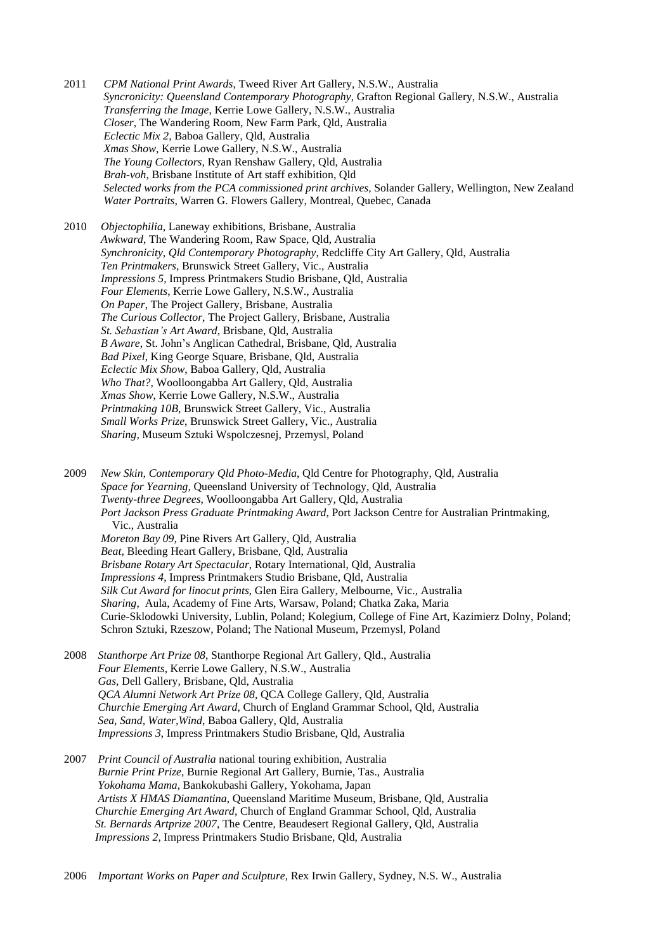2011 *CPM National Print Awards*, Tweed River Art Gallery, N.S.W., Australia  *Syncronicity: Queensland Contemporary Photography*, Grafton Regional Gallery, N.S.W., Australia *Transferring the Image*, Kerrie Lowe Gallery, N.S.W., Australia  *Closer*, The Wandering Room, New Farm Park, Qld, Australia  *Eclectic Mix 2*, Baboa Gallery, Qld, Australia *Xmas Show*, Kerrie Lowe Gallery, N.S.W., Australia  *The Young Collectors,* Ryan Renshaw Gallery, Qld, Australia *Brah-voh*, Brisbane Institute of Art staff exhibition, Qld *Selected works from the PCA commissioned print archives*, Solander Gallery, Wellington, New Zealand *Water Portraits*, Warren G. Flowers Gallery, Montreal, Quebec, Canada

2010 *Objectophilia*, Laneway exhibitions, Brisbane, Australia *Awkward*, The Wandering Room, Raw Space, Qld, Australia *Synchronicity, Qld Contemporary Photography*, Redcliffe City Art Gallery, Qld, Australia *Ten Printmakers*, Brunswick Street Gallery, Vic., Australia *Impressions 5*, Impress Printmakers Studio Brisbane, Qld, Australia *Four Elements*, Kerrie Lowe Gallery, N.S.W., Australia *On Paper*, The Project Gallery, Brisbane, Australia *The Curious Collector*, The Project Gallery, Brisbane, Australia *St. Sebastian's Art Award*, Brisbane, Qld, Australia *B Aware*, St. John's Anglican Cathedral, Brisbane, Qld, Australia *Bad Pixel*, King George Square, Brisbane, Qld, Australia *Eclectic Mix Show*, Baboa Gallery, Qld, Australia *Who That?*, Woolloongabba Art Gallery, Qld, Australia *Xmas Show*, Kerrie Lowe Gallery, N.S.W., Australia *Printmaking 10B*, Brunswick Street Gallery, Vic., Australia *Small Works Prize*, Brunswick Street Gallery, Vic., Australia *Sharing*, Museum Sztuki Wspolczesnej, Przemysl, Poland

2009 *New Skin, Contemporary Qld Photo-Media*, Qld Centre for Photography, Qld, Australia *Space for Yearning*, Queensland University of Technology, Qld, Australia *Twenty-three Degrees*, Woolloongabba Art Gallery, Qld, Australia *Port Jackson Press Graduate Printmaking Award*, Port Jackson Centre for Australian Printmaking, Vic., Australia  *Moreton Bay 09*, Pine Rivers Art Gallery, Qld, Australia *Beat*, Bleeding Heart Gallery, Brisbane, Qld, Australia *Brisbane Rotary Art Spectacular*, Rotary International, Qld, Australia *Impressions 4*, Impress Printmakers Studio Brisbane, Qld, Australia *Silk Cut Award for linocut prints*, Glen Eira Gallery, Melbourne, Vic., Australia *Sharing*, Aula, Academy of Fine Arts, Warsaw, Poland; Chatka Zaka, Maria Curie-Sklodowki University, Lublin, Poland; Kolegium, College of Fine Art, Kazimierz Dolny, Poland; Schron Sztuki, Rzeszow, Poland; The National Museum, Przemysl, Poland

- 2008 *Stanthorpe Art Prize 08*, Stanthorpe Regional Art Gallery, Qld., Australia  *Four Elements*, Kerrie Lowe Gallery, N.S.W., Australia  *Gas*, Dell Gallery, Brisbane, Qld, Australia *QCA Alumni Network Art Prize 08*, QCA College Gallery, Qld, Australia  *Churchie Emerging Art Award*, Church of England Grammar School, Qld, Australia  *Sea, Sand, Water,Wind*, Baboa Gallery, Qld, Australia  *Impressions 3*, Impress Printmakers Studio Brisbane, Qld, Australia
- 2007 *Print Council of Australia* national touring exhibition, Australia *Burnie Print Prize*, Burnie Regional Art Gallery, Burnie, Tas., Australia *Yokohama Mama*, Bankokubashi Gallery, Yokohama, Japan *Artists X HMAS Diamantina*, Queensland Maritime Museum, Brisbane, Qld, Australia *Churchie Emerging Art Award*, Church of England Grammar School, Qld, Australia *St. Bernards Artprize 2007*, The Centre, Beaudesert Regional Gallery, Qld, Australia *Impressions 2*, Impress Printmakers Studio Brisbane, Qld, Australia

2006 *Important Works on Paper and Sculpture*, Rex Irwin Gallery, Sydney, N.S. W., Australia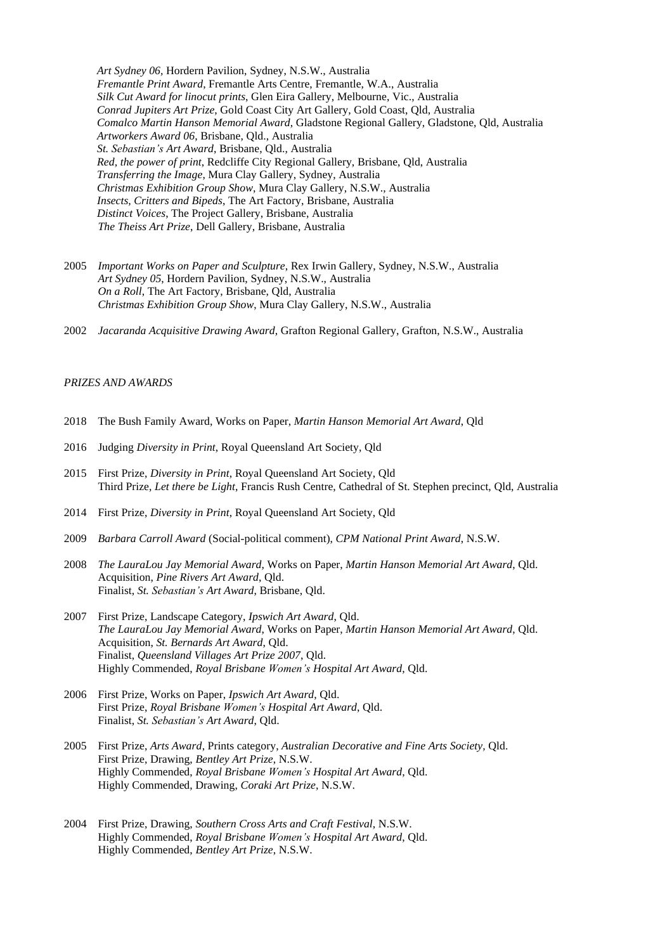*Art Sydney 06,* Hordern Pavilion, Sydney, N.S.W., Australia *Fremantle Print Award*, Fremantle Arts Centre, Fremantle, W.A., Australia *Silk Cut Award for linocut prints*, Glen Eira Gallery, Melbourne, Vic., Australia *Conrad Jupiters Art Prize*, Gold Coast City Art Gallery, Gold Coast, Qld, Australia *Comalco Martin Hanson Memorial Award*, Gladstone Regional Gallery, Gladstone, Qld, Australia *Artworkers Award 06*, Brisbane, Qld., Australia *St. Sebastian's Art Award*, Brisbane, Qld., Australia *Red, the power of print*, Redcliffe City Regional Gallery, Brisbane, Qld, Australia *Transferring the Image*, Mura Clay Gallery, Sydney, Australia *Christmas Exhibition Group Show*, Mura Clay Gallery, N.S.W., Australia *Insects, Critters and Bipeds*, The Art Factory, Brisbane, Australia *Distinct Voices*, The Project Gallery, Brisbane, Australia *The Theiss Art Prize*, Dell Gallery, Brisbane, Australia

- 2005 *Important Works on Paper and Sculpture*, Rex Irwin Gallery, Sydney, N.S.W., Australia *Art Sydney 05*, Hordern Pavilion, Sydney, N.S.W., Australia *On a Roll*, The Art Factory, Brisbane, Qld, Australia *Christmas Exhibition Group Show*, Mura Clay Gallery, N.S.W., Australia
- 2002 *Jacaranda Acquisitive Drawing Award*, Grafton Regional Gallery, Grafton, N.S.W., Australia

# *PRIZES AND AWARDS*

- 2018 The Bush Family Award, Works on Paper, *Martin Hanson Memorial Art Award*, Qld
- 2016 Judging *Diversity in Print*, Royal Queensland Art Society, Qld
- 2015 First Prize, *Diversity in Print*, Royal Queensland Art Society, Qld Third Prize, *Let there be Light*, Francis Rush Centre, Cathedral of St. Stephen precinct, Qld, Australia
- 2014 First Prize, *Diversity in Print*, Royal Queensland Art Society, Qld
- 2009 *Barbara Carroll Award* (Social-political comment), *CPM National Print Award*, N.S.W.
- 2008 *The LauraLou Jay Memorial Award*, Works on Paper, *Martin Hanson Memorial Art Award*, Qld. Acquisition, *Pine Rivers Art Award*, Qld. Finalist, *St. Sebastian's Art Award*, Brisbane, Qld.
- 2007 First Prize, Landscape Category, *Ipswich Art Award*, Qld. *The LauraLou Jay Memorial Award*, Works on Paper, *Martin Hanson Memorial Art Award*, Qld. Acquisition, *St. Bernards Art Award*, Qld. Finalist, *Queensland Villages Art Prize 2007*, Qld. Highly Commended, *Royal Brisbane Women's Hospital Art Award*, Qld.
- 2006 First Prize, Works on Paper, *Ipswich Art Award*, Qld. First Prize, *Royal Brisbane Women's Hospital Art Award*, Qld. Finalist, *St. Sebastian's Art Award*, Qld.
- 2005 First Prize, *Arts Award*, Prints category, *Australian Decorative and Fine Arts Society,* Qld. First Prize, Drawing, *Bentley Art Prize*, N.S.W. Highly Commended, *Royal Brisbane Women's Hospital Art Award*, Qld. Highly Commended, Drawing, *Coraki Art Prize*, N.S.W.
- 2004 First Prize, Drawing, *Southern Cross Arts and Craft Festival*, N.S.W. Highly Commended, *Royal Brisbane Women's Hospital Art Award*, Qld. Highly Commended, *Bentley Art Prize*, N.S.W.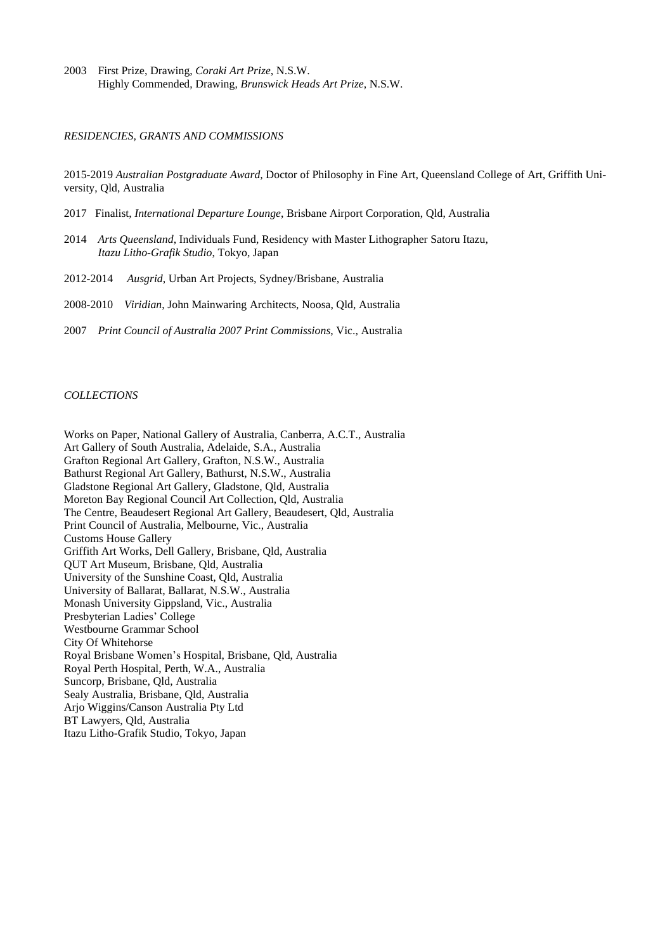2003 First Prize, Drawing, *Coraki Art Prize*, N.S.W. Highly Commended, Drawing, *Brunswick Heads Art Prize*, N.S.W.

#### *RESIDENCIES, GRANTS AND COMMISSIONS*

2015-2019 *Australian Postgraduate Award,* Doctor of Philosophy in Fine Art, Queensland College of Art, Griffith University, Qld, Australia

- 2017 Finalist, *International Departure Lounge*, Brisbane Airport Corporation, Qld, Australia
- 2014 *Arts Queensland*, Individuals Fund, Residency with Master Lithographer Satoru Itazu, *Itazu Litho-Grafik Studio*, Tokyo, Japan
- 2012-2014 *Ausgrid*, Urban Art Projects, Sydney/Brisbane, Australia
- 2008-2010 *Viridian*, John Mainwaring Architects, Noosa, Qld, Australia
- 2007 *Print Council of Australia 2007 Print Commissions*, Vic., Australia

#### *COLLECTIONS*

Works on Paper, National Gallery of Australia, Canberra, A.C.T., Australia Art Gallery of South Australia, Adelaide, S.A., Australia Grafton Regional Art Gallery, Grafton, N.S.W., Australia Bathurst Regional Art Gallery, Bathurst, N.S.W., Australia Gladstone Regional Art Gallery, Gladstone, Qld, Australia Moreton Bay Regional Council Art Collection, Qld, Australia The Centre, Beaudesert Regional Art Gallery, Beaudesert, Qld, Australia Print Council of Australia, Melbourne, Vic., Australia Customs House Gallery Griffith Art Works, Dell Gallery, Brisbane, Qld, Australia QUT Art Museum, Brisbane, Qld, Australia University of the Sunshine Coast, Qld, Australia University of Ballarat, Ballarat, N.S.W., Australia Monash University Gippsland, Vic., Australia Presbyterian Ladies' College Westbourne Grammar School City Of Whitehorse Royal Brisbane Women's Hospital, Brisbane, Qld, Australia Royal Perth Hospital, Perth, W.A., Australia Suncorp, Brisbane, Qld, Australia Sealy Australia, Brisbane, Qld, Australia Arjo Wiggins/Canson Australia Pty Ltd BT Lawyers, Qld, Australia Itazu Litho-Grafik Studio, Tokyo, Japan